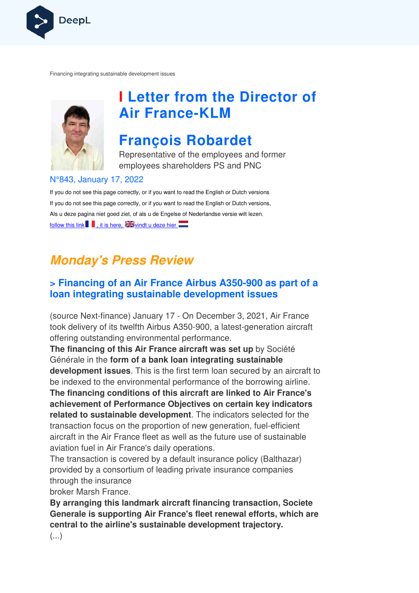

Financing integrating sustainable development issues



# **I Letter from the Director of Air France France-KLM**

# **François Robardet**

Representative of the employees and former employees shareholders PS and PNC

#### N°843, January 17, 2022

If you do not see this page correctly, or if you want to read the English or Dutch versions If you do not see this page correctly, or if you want to read the English or Dutch versions, Als u deze pagina niet goed ziet, of als u de Engelse of Nederlandse v versie wilt lezen, follow this link  $\blacksquare$ , it is here,  $\blacksquare$  vindt u deze hier

## **Monday's Press Review**

### **> Financing of an Air France Airbus A350-900 as part of a loan integrating sustainable development issues**

(source Next-finance) January 17 - On December 3, 2021, Air France took delivery of its twelfth Airbus A350-900, a latest-generation aircraft offering outstanding environmental performance.

**The financing of this Air France aircraft was set up**  by Société Générale in the **form of a bank loan integrating sustainable development issues**. This is the first term loan secured by an aircraft to be indexed to the environmental performance of the borrowing airline. **The financing conditions of this aircraft are linked to Air France's achievement of Performance Objectives on certain key indicators related to sustainable development** . The indicators selected for the transaction focus on the proportion of new generation, fuel ansaction fuel-efficient aircraft in the Air France fleet as well as the future use of sustainable aviation fuel in Air France's daily operations. generation aircra<br> **up** by Société<br> **ustainable**<br>
ured by an aircra<br>
borrowing airline<br>
d **to Air France<br>
in key indicato**<br>
s selected for th<br>
n, fuel-efficient<br>
se of sustainable<br>
blicy (Balthazar)

The transaction is covered by a default insurance policy (Balthaz (Balthazar) provided by a consortium of leading private insurance companies through the insurance

broker Marsh France.

**By arranging this landmark aircraft financing transaction, Societe Generale is supporting Air France's fleet renewal efforts, which are central to the airline's sustainable development trajectory.**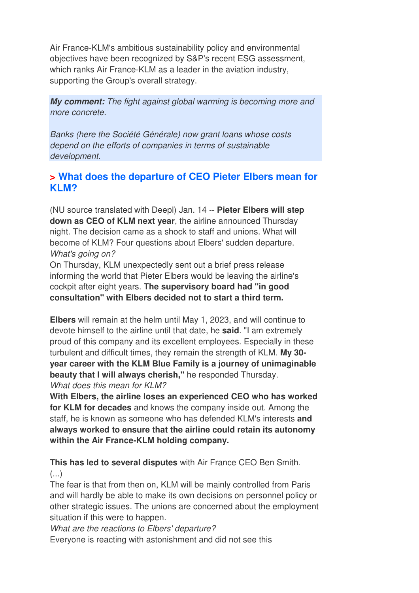Air France-KLM's ambitious sustainability policy and environmental objectives have been recognized by S&P's recent ESG assessment, which ranks Air France-KLM as a leader in the aviation industry, supporting the Group's overall strategy.

**My comment:** The fight against global warming is becoming more and more concrete.

Banks (here the Société Générale) now grant loans whose costs depend on the efforts of companies in terms of sustainable development.

### **> What does the departure of CEO Pieter Elbers mean for KLM?**

(NU source translated with Deepl) Jan. 14 -- **Pieter Elbers will step down as CEO of KLM next year**, the airline announced Thursday night. The decision came as a shock to staff and unions. What will become of KLM? Four questions about Elbers' sudden departure. What's going on?

On Thursday, KLM unexpectedly sent out a brief press release informing the world that Pieter Elbers would be leaving the airline's cockpit after eight years. **The supervisory board had "in good consultation" with Elbers decided not to start a third term.** 

**Elbers** will remain at the helm until May 1, 2023, and will continue to devote himself to the airline until that date, he **said**. "I am extremely proud of this company and its excellent employees. Especially in these turbulent and difficult times, they remain the strength of KLM. **My 30 year career with the KLM Blue Family is a journey of unimaginable beauty that I will always cherish,"** he responded Thursday. What does this mean for KLM?

**With Elbers, the airline loses an experienced CEO who has worked for KLM for decades** and knows the company inside out. Among the staff, he is known as someone who has defended KLM's interests **and always worked to ensure that the airline could retain its autonomy within the Air France-KLM holding company.** 

**This has led to several disputes** with Air France CEO Ben Smith.  $(\ldots)$ 

The fear is that from then on, KLM will be mainly controlled from Paris and will hardly be able to make its own decisions on personnel policy or other strategic issues. The unions are concerned about the employment situation if this were to happen.

What are the reactions to Elbers' departure?

Everyone is reacting with astonishment and did not see this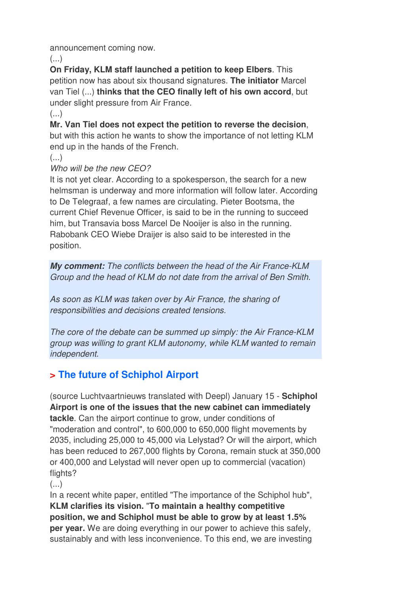announcement coming now.

 $(\ldots)$ 

**On Friday, KLM staff launched a petition to keep Elbers**. This petition now has about six thousand signatures. **The initiator** Marcel van Tiel (...) **thinks that the CEO finally left of his own accord**, but under slight pressure from Air France.

(...)

**Mr. Van Tiel does not expect the petition to reverse the decision**, but with this action he wants to show the importance of not letting KLM end up in the hands of the French.

(...)

#### Who will be the new CEO?

It is not yet clear. According to a spokesperson, the search for a new helmsman is underway and more information will follow later. According to De Telegraaf, a few names are circulating. Pieter Bootsma, the current Chief Revenue Officer, is said to be in the running to succeed him, but Transavia boss Marcel De Nooijer is also in the running. Rabobank CEO Wiebe Draijer is also said to be interested in the position.

**My comment:** The conflicts between the head of the Air France-KLM Group and the head of KLM do not date from the arrival of Ben Smith.

As soon as KLM was taken over by Air France, the sharing of responsibilities and decisions created tensions.

The core of the debate can be summed up simply: the Air France-KLM group was willing to grant KLM autonomy, while KLM wanted to remain independent.

## **> The future of Schiphol Airport**

(source Luchtvaartnieuws translated with Deepl) January 15 - **Schiphol Airport is one of the issues that the new cabinet can immediately tackle**. Can the airport continue to grow, under conditions of "moderation and control", to 600,000 to 650,000 flight movements by 2035, including 25,000 to 45,000 via Lelystad? Or will the airport, which has been reduced to 267,000 flights by Corona, remain stuck at 350,000 or 400,000 and Lelystad will never open up to commercial (vacation) flights?

 $\left( \ldots \right)$ 

In a recent white paper, entitled "The importance of the Schiphol hub", **KLM clarifies its vision.** "**To maintain a healthy competitive position, we and Schiphol must be able to grow by at least 1.5% per year.** We are doing everything in our power to achieve this safely, sustainably and with less inconvenience. To this end, we are investing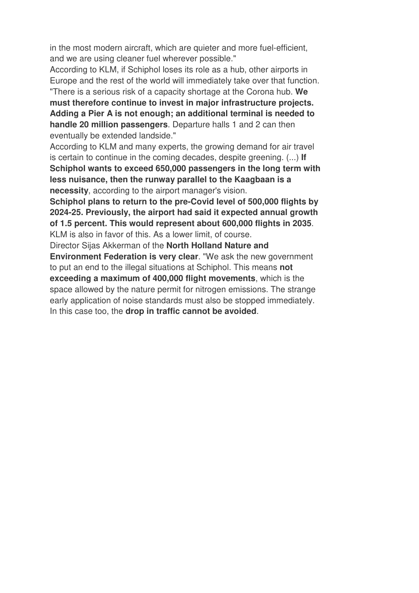in the most modern aircraft, which are quieter and more fuel-efficient, and we are using cleaner fuel wherever possible."

According to KLM, if Schiphol loses its role as a hub, other airports in Europe and the rest of the world will immediately take over that function. "There is a serious risk of a capacity shortage at the Corona hub. **We** 

**must therefore continue to invest in major infrastructure projects. Adding a Pier A is not enough; an additional terminal is needed to handle 20 million passengers**. Departure halls 1 and 2 can then eventually be extended landside."

According to KLM and many experts, the growing demand for air travel is certain to continue in the coming decades, despite greening. (...) **If Schiphol wants to exceed 650,000 passengers in the long term with less nuisance, then the runway parallel to the Kaagbaan is a necessity**, according to the airport manager's vision.

**Schiphol plans to return to the pre-Covid level of 500,000 flights by 2024-25. Previously, the airport had said it expected annual growth of 1.5 percent. This would represent about 600,000 flights in 2035**. KLM is also in favor of this. As a lower limit, of course.

Director Sijas Akkerman of the **North Holland Nature and Environment Federation is very clear**. "We ask the new government to put an end to the illegal situations at Schiphol. This means **not exceeding a maximum of 400,000 flight movements**, which is the space allowed by the nature permit for nitrogen emissions. The strange early application of noise standards must also be stopped immediately. In this case too, the **drop in traffic cannot be avoided**.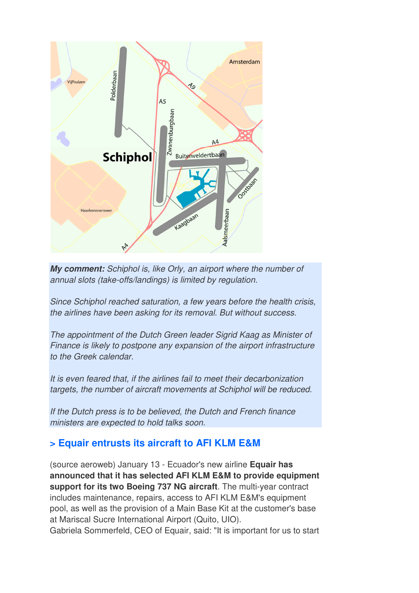

**My comment:** Schiphol is, like Orly, an airport where the number of annual slots (take-offs/landings) is limited by regulation.

Since Schiphol reached saturation, a few years before the health crisis, the airlines have been asking for its removal. But without success.

The appointment of the Dutch Green leader Sigrid Kaag as Minister of Finance is likely to postpone any expansion of the airport infrastructure to the Greek calendar.

It is even feared that, if the airlines fail to meet their decarbonization targets, the number of aircraft movements at Schiphol will be reduced.

If the Dutch press is to be believed, the Dutch and French finance ministers are expected to hold talks soon.

### **> Equair entrusts its aircraft to AFI KLM E&M**

(source aeroweb) January 13 - Ecuador's new airline **Equair has announced that it has selected AFI KLM E&M to provide equipment support for its two Boeing 737 NG aircraft**. The multi-year contract includes maintenance, repairs, access to AFI KLM E&M's equipment pool, as well as the provision of a Main Base Kit at the customer's base at Mariscal Sucre International Airport (Quito, UIO). Gabriela Sommerfeld, CEO of Equair, said: "It is important for us to start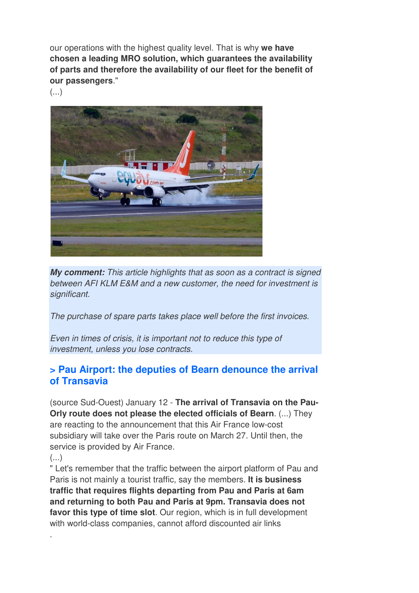our operations with the highest quality level. That is why **we have chosen a leading MRO solution, which guarantees the availability of parts and therefore the availability of our fleet for the benefit of our passengers**."

(...)



**My comment:** This article highlights that as soon as a contract is signed between AFI KLM E&M and a new customer, the need for investment is significant.

The purchase of spare parts takes place well before the first invoices.

Even in times of crisis, it is important not to reduce this type of investment, unless you lose contracts.

### **> Pau Airport: the deputies of Bearn denounce the arrival of Transavia**

(source Sud-Ouest) January 12 - **The arrival of Transavia on the Pau-Orly route does not please the elected officials of Bearn**. (...) They are reacting to the announcement that this Air France low-cost subsidiary will take over the Paris route on March 27. Until then, the service is provided by Air France.

(...)

.

" Let's remember that the traffic between the airport platform of Pau and Paris is not mainly a tourist traffic, say the members. **It is business traffic that requires flights departing from Pau and Paris at 6am and returning to both Pau and Paris at 9pm. Transavia does not favor this type of time slot**. Our region, which is in full development with world-class companies, cannot afford discounted air links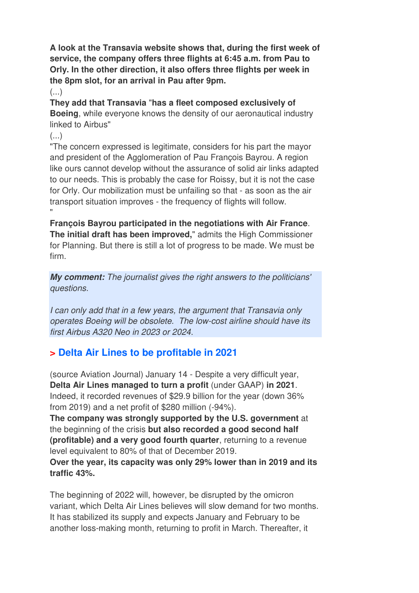**A look at the Transavia website shows that, during the first week of service, the company offers three flights at 6:45 a.m. from Pau to Orly. In the other direction, it also offers three flights per week in the 8pm slot, for an arrival in Pau after 9pm.** 

 $\left( \ldots \right)$ 

**They add that Transavia** "**has a fleet composed exclusively of Boeing**, while everyone knows the density of our aeronautical industry linked to Airbus"

 $(\ldots)$ 

"The concern expressed is legitimate, considers for his part the mayor and president of the Agglomeration of Pau François Bayrou. A region like ours cannot develop without the assurance of solid air links adapted to our needs. This is probably the case for Roissy, but it is not the case for Orly. Our mobilization must be unfailing so that - as soon as the air transport situation improves - the frequency of flights will follow. "

**François Bayrou participated in the negotiations with Air France**. **The initial draft has been improved,**" admits the High Commissioner for Planning. But there is still a lot of progress to be made. We must be firm.

**My comment:** The journalist gives the right answers to the politicians' questions.

I can only add that in a few years, the argument that Transavia only operates Boeing will be obsolete. The low-cost airline should have its first Airbus A320 Neo in 2023 or 2024.

### **> Delta Air Lines to be profitable in 2021**

(source Aviation Journal) January 14 - Despite a very difficult year, **Delta Air Lines managed to turn a profit** (under GAAP) **in 2021**. Indeed, it recorded revenues of \$29.9 billion for the year (down 36% from 2019) and a net profit of \$280 million (-94%).

**The company was strongly supported by the U.S. government** at the beginning of the crisis **but also recorded a good second half (profitable) and a very good fourth quarter**, returning to a revenue level equivalent to 80% of that of December 2019.

**Over the year, its capacity was only 29% lower than in 2019 and its traffic 43%.** 

The beginning of 2022 will, however, be disrupted by the omicron variant, which Delta Air Lines believes will slow demand for two months. It has stabilized its supply and expects January and February to be another loss-making month, returning to profit in March. Thereafter, it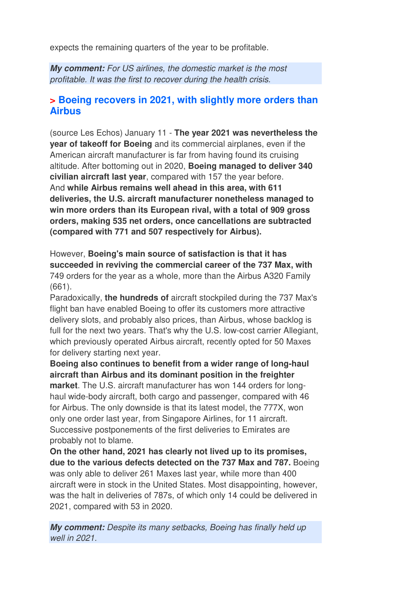expects the remaining quarters of the year to be profitable.

**My comment:** For US airlines, the domestic market is the most profitable. It was the first to recover during the health crisis.

#### **> Boeing recovers in 2021, with slightly more orders than Airbus**

(source Les Echos) January 11 - **The year 2021 was nevertheless the year of takeoff for Boeing** and its commercial airplanes, even if the American aircraft manufacturer is far from having found its cruising altitude. After bottoming out in 2020, **Boeing managed to deliver 340 civilian aircraft last year**, compared with 157 the year before. And **while Airbus remains well ahead in this area, with 611 deliveries, the U.S. aircraft manufacturer nonetheless managed to win more orders than its European rival, with a total of 909 gross orders, making 535 net orders, once cancellations are subtracted (compared with 771 and 507 respectively for Airbus).** 

However, **Boeing's main source of satisfaction is that it has succeeded in reviving the commercial career of the 737 Max, with**  749 orders for the year as a whole, more than the Airbus A320 Family (661).

Paradoxically, **the hundreds of** aircraft stockpiled during the 737 Max's flight ban have enabled Boeing to offer its customers more attractive delivery slots, and probably also prices, than Airbus, whose backlog is full for the next two years. That's why the U.S. low-cost carrier Allegiant, which previously operated Airbus aircraft, recently opted for 50 Maxes for delivery starting next year.

**Boeing also continues to benefit from a wider range of long-haul aircraft than Airbus and its dominant position in the freighter market**. The U.S. aircraft manufacturer has won 144 orders for longhaul wide-body aircraft, both cargo and passenger, compared with 46 for Airbus. The only downside is that its latest model, the 777X, won only one order last year, from Singapore Airlines, for 11 aircraft. Successive postponements of the first deliveries to Emirates are probably not to blame.

**On the other hand, 2021 has clearly not lived up to its promises, due to the various defects detected on the 737 Max and 787.** Boeing was only able to deliver 261 Maxes last year, while more than 400 aircraft were in stock in the United States. Most disappointing, however, was the halt in deliveries of 787s, of which only 14 could be delivered in 2021, compared with 53 in 2020.

**My comment:** Despite its many setbacks, Boeing has finally held up well in 2021.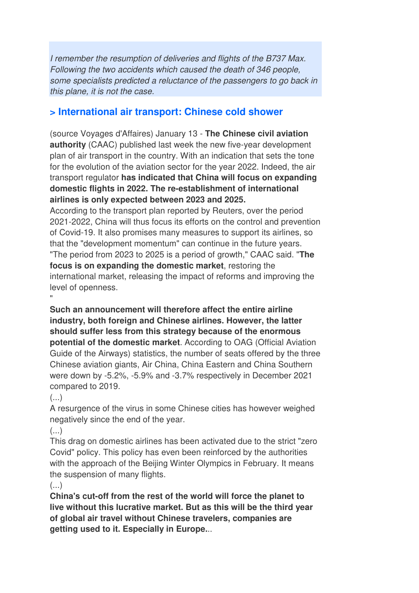I remember the resumption of deliveries and flights of the B737 Max. Following the two accidents which caused the death of 346 people, some specialists predicted a reluctance of the passengers to go back in this plane, it is not the case.

#### **> International air transport: Chinese cold shower**

(source Voyages d'Affaires) January 13 - **The Chinese civil aviation authority** (CAAC) published last week the new five-year development plan of air transport in the country. With an indication that sets the tone for the evolution of the aviation sector for the year 2022. Indeed, the air transport regulator **has indicated that China will focus on expanding domestic flights in 2022. The re-establishment of international airlines is only expected between 2023 and 2025.** 

According to the transport plan reported by Reuters, over the period 2021-2022, China will thus focus its efforts on the control and prevention of Covid-19. It also promises many measures to support its airlines, so that the "development momentum" can continue in the future years. "The period from 2023 to 2025 is a period of growth," CAAC said. "**The focus is on expanding the domestic market**, restoring the international market, releasing the impact of reforms and improving the level of openness.

**Such an announcement will therefore affect the entire airline industry, both foreign and Chinese airlines. However, the latter should suffer less from this strategy because of the enormous potential of the domestic market**. According to OAG (Official Aviation Guide of the Airways) statistics, the number of seats offered by the three Chinese aviation giants, Air China, China Eastern and China Southern were down by -5.2%, -5.9% and -3.7% respectively in December 2021 compared to 2019.

(...)

"

A resurgence of the virus in some Chinese cities has however weighed negatively since the end of the year.

 $(\ldots)$ 

This drag on domestic airlines has been activated due to the strict "zero Covid" policy. This policy has even been reinforced by the authorities with the approach of the Beijing Winter Olympics in February. It means the suspension of many flights.

 $\left( \ldots \right)$ 

**China's cut-off from the rest of the world will force the planet to live without this lucrative market. But as this will be the third year of global air travel without Chinese travelers, companies are getting used to it. Especially in Europe.**..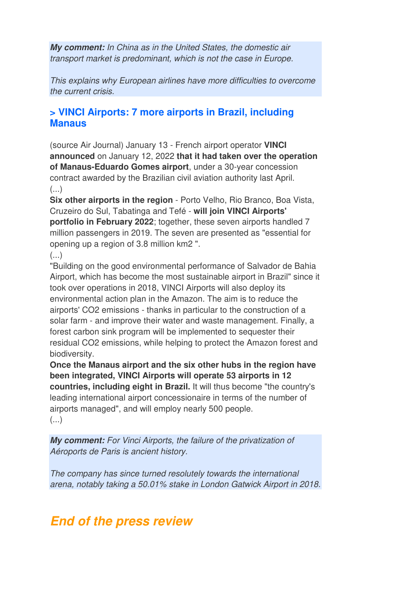**My comment:** In China as in the United States, the domestic air transport market is predominant, which is not the case in Europe.

This explains why European airlines have more difficulties to overcome the current crisis.

### **> VINCI Airports: 7 more airports in Brazil, including Manaus**

(source Air Journal) January 13 - French airport operator **VINCI announced** on January 12, 2022 **that it had taken over the operation of Manaus-Eduardo Gomes airport**, under a 30-year concession contract awarded by the Brazilian civil aviation authority last April.  $(\ldots)$ 

**Six other airports in the region** - Porto Velho, Rio Branco, Boa Vista, Cruzeiro do Sul, Tabatinga and Tefé - **will join VINCI Airports' portfolio in February 2022**; together, these seven airports handled 7 million passengers in 2019. The seven are presented as "essential for opening up a region of 3.8 million km2 ".

### $\left( \ldots \right)$

"Building on the good environmental performance of Salvador de Bahia Airport, which has become the most sustainable airport in Brazil" since it took over operations in 2018, VINCI Airports will also deploy its environmental action plan in the Amazon. The aim is to reduce the airports' CO2 emissions - thanks in particular to the construction of a solar farm - and improve their water and waste management. Finally, a forest carbon sink program will be implemented to sequester their residual CO2 emissions, while helping to protect the Amazon forest and biodiversity.

**Once the Manaus airport and the six other hubs in the region have been integrated, VINCI Airports will operate 53 airports in 12 countries, including eight in Brazil.** It will thus become "the country's leading international airport concessionaire in terms of the number of airports managed", and will employ nearly 500 people. (...)

**My comment:** For Vinci Airports, the failure of the privatization of Aéroports de Paris is ancient history.

The company has since turned resolutely towards the international arena, notably taking a 50.01% stake in London Gatwick Airport in 2018.

## **End of the press review**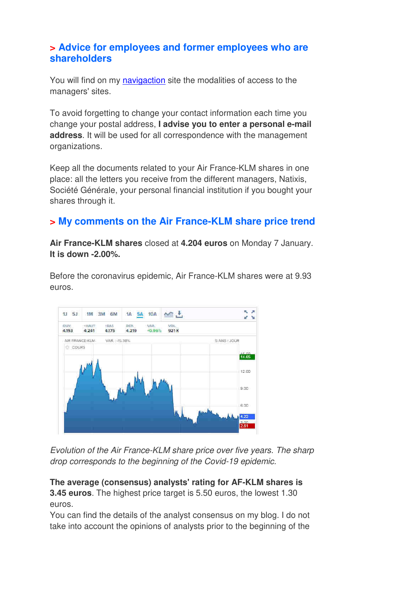#### **> Advice for employees and former employees who are shareholders**

You will find on my navigaction site the modalities of access to the managers' sites.

To avoid forgetting to change your contact information each time you change your postal address, **I advise you to enter a personal e-mail address**. It will be used for all correspondence with the management organizations.

Keep all the documents related to your Air France-KLM shares in one place: all the letters you receive from the different managers, Natixis, Société Générale, your personal financial institution if you bought your shares through it.

### **> My comments on the Air France-KLM share price trend**

**Air France-KLM shares** closed at **4.204 euros** on Monday 7 January. **It is down -2.00%.** 

Before the coronavirus epidemic, Air France-KLM shares were at 9.93 euros.



Evolution of the Air France-KLM share price over five years. The sharp drop corresponds to the beginning of the Covid-19 epidemic.

#### **The average (consensus) analysts' rating for AF-KLM shares is 3.45 euros**. The highest price target is 5.50 euros, the lowest 1.30 euros.

You can find the details of the analyst consensus on my blog. I do not take into account the opinions of analysts prior to the beginning of the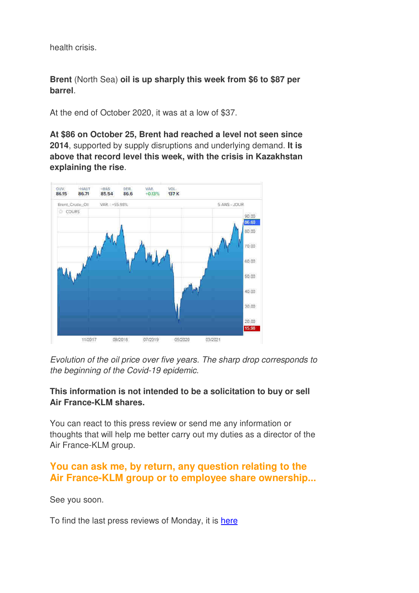health crisis.

**Brent** (North Sea) **oil is up sharply this week from \$6 to \$87 per barrel**.

At the end of October 2020, it was at a low of \$37.

**At \$86 on October 25, Brent had reached a level not seen since 2014**, supported by supply disruptions and underlying demand. **It is above that record level this week, with the crisis in Kazakhstan explaining the rise**.



Evolution of the oil price over five years. The sharp drop corresponds to the beginning of the Covid-19 epidemic.

#### **This information is not intended to be a solicitation to buy or sell Air France-KLM shares.**

You can react to this press review or send me any information or thoughts that will help me better carry out my duties as a director of the Air France-KLM group.

### **You can ask me, by return, any question relating to the Air France-KLM group or to employee share ownership...**

See you soon.

To find the last press reviews of Monday, it is here